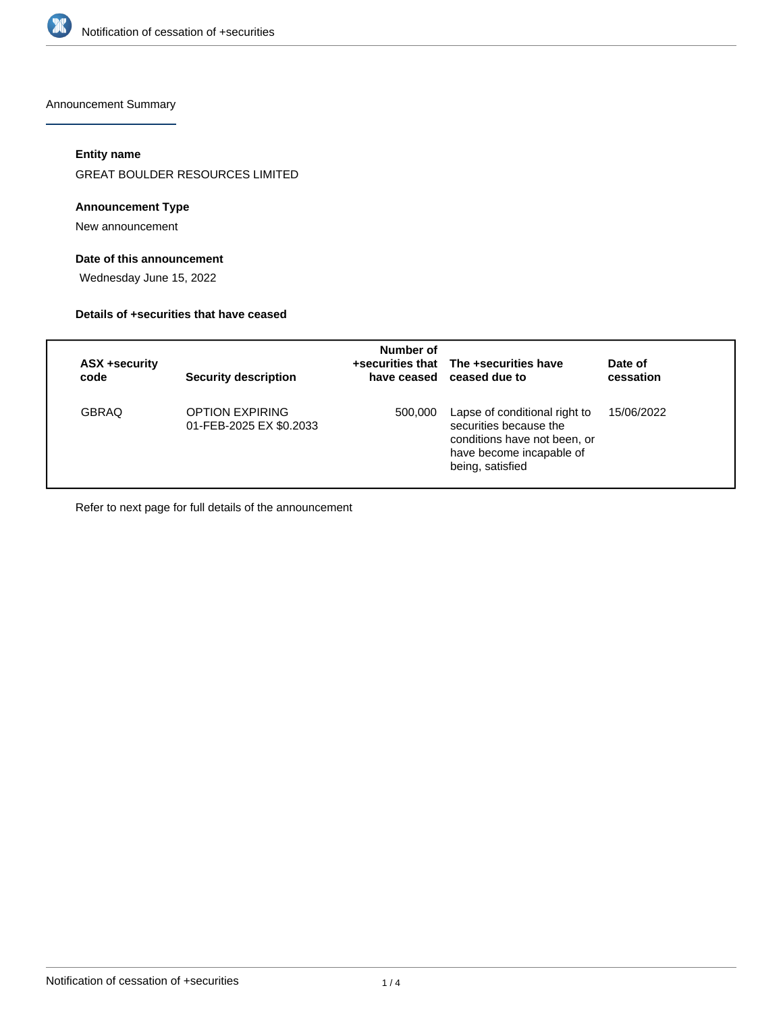

Announcement Summary

# **Entity name**

GREAT BOULDER RESOURCES LIMITED

## **Announcement Type**

New announcement

# **Date of this announcement**

Wednesday June 15, 2022

### **Details of +securities that have ceased**

| <b>ASX +security</b><br>code | <b>Security description</b>                       | Number of | +securities that The +securities have<br>have ceased ceased due to                                                                      | Date of<br>cessation |
|------------------------------|---------------------------------------------------|-----------|-----------------------------------------------------------------------------------------------------------------------------------------|----------------------|
| <b>GBRAQ</b>                 | <b>OPTION EXPIRING</b><br>01-FEB-2025 EX \$0.2033 | 500,000   | Lapse of conditional right to<br>securities because the<br>conditions have not been, or<br>have become incapable of<br>being, satisfied | 15/06/2022           |

Refer to next page for full details of the announcement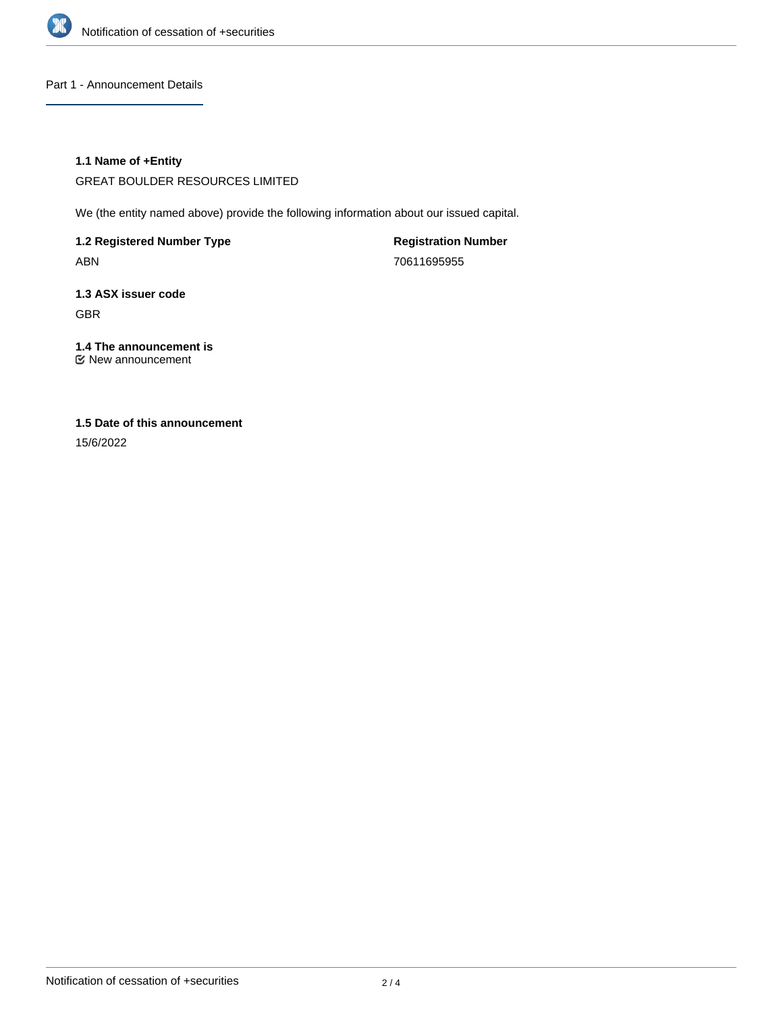

Part 1 - Announcement Details

## **1.1 Name of +Entity**

GREAT BOULDER RESOURCES LIMITED

We (the entity named above) provide the following information about our issued capital.

**1.2 Registered Number Type** ABN

**Registration Number** 70611695955

**1.3 ASX issuer code** GBR

**1.4 The announcement is** New announcement

# **1.5 Date of this announcement**

15/6/2022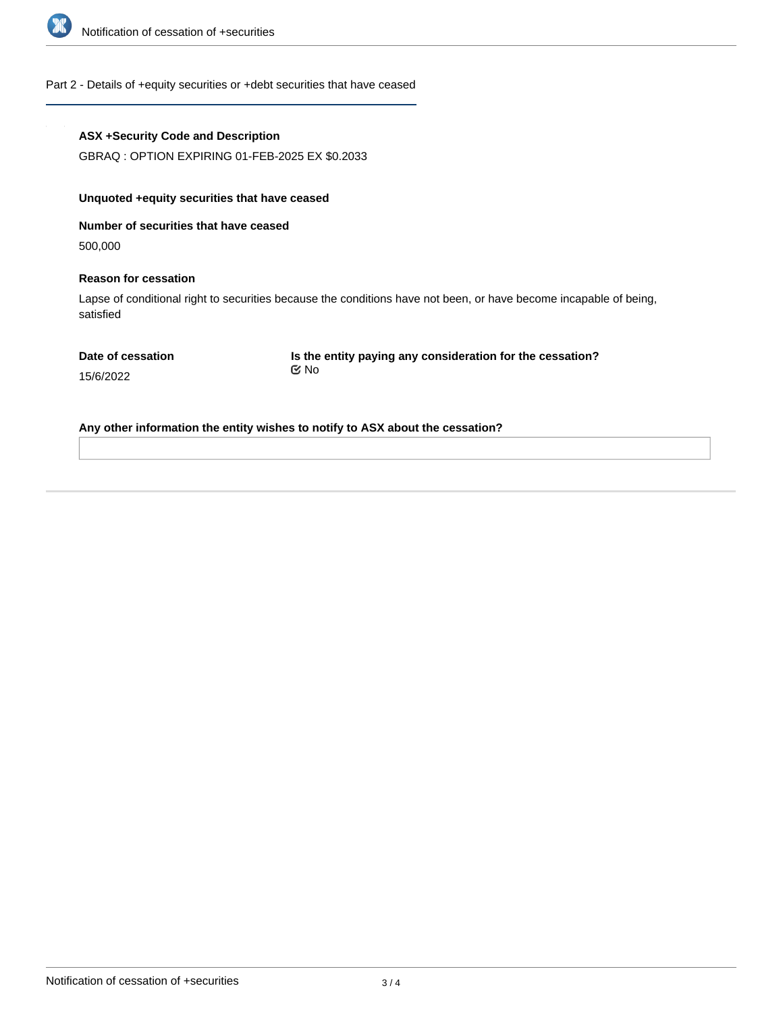

### Part 2 - Details of +equity securities or +debt securities that have ceased

| <b>ASX +Security Code and Description</b> |  |
|-------------------------------------------|--|
|-------------------------------------------|--|

GBRAQ : OPTION EXPIRING 01-FEB-2025 EX \$0.2033

## **Unquoted +equity securities that have ceased**

**Number of securities that have ceased**

500,000

#### **Reason for cessation**

Lapse of conditional right to securities because the conditions have not been, or have become incapable of being, satisfied

|  |  |  | Date of cessation |
|--|--|--|-------------------|
|--|--|--|-------------------|

**Is the entity paying any consideration for the cessation?** No

15/6/2022

**Any other information the entity wishes to notify to ASX about the cessation?**